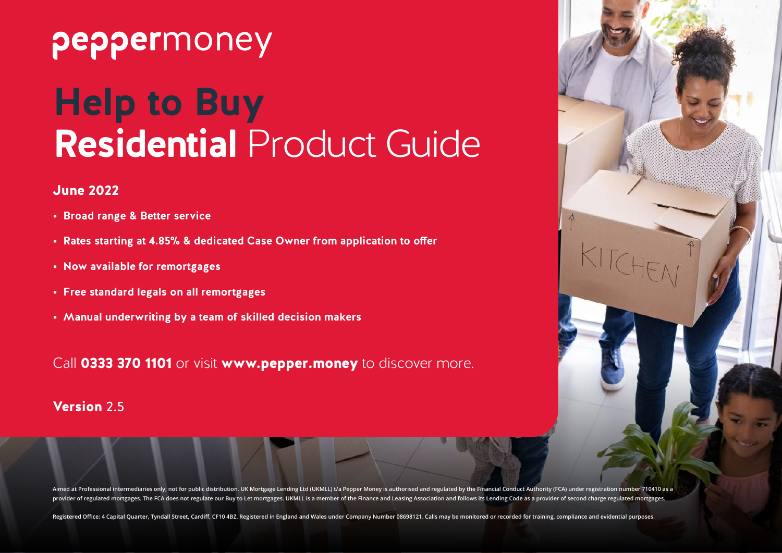## peppermoney

# **Help to Buy Residential** Product Guide

#### June 2022

- **• Broad range & Better service**
- **• Rates starting at 4.85% & dedicated Case Owner from application to offer**
- **• Now available for remortgages**
- **• Free standard legals on all remortgages**
- **• Manual underwriting by a team of skilled decision makers**

Call 0333 370 1101 or visit www.pepper.money to discover more.

#### Version 2.5



Aimed at Professional intermediaries only, not for public distribution. UK Mortgage Lending Ltd (UKMLL) t/a Pepper Money is authorised and regulated by the Financial Conduct Authority (FCA) under registration number 710410 provider of regulated mortgages. The FCA does not regulate our Buy to Let mortgages. UKMLL is a member of the Finance and Leasing Association and follows its Lending Code as a provider of second charge regulated mortgages

Registered Office: 4 Capital Quarter, Tyndall Street, Cardiff, CF10 4BZ. Registered in England and Wales under Company Number 08698121. Calls may be monitored or recorded for training, compliance and evidential purposes.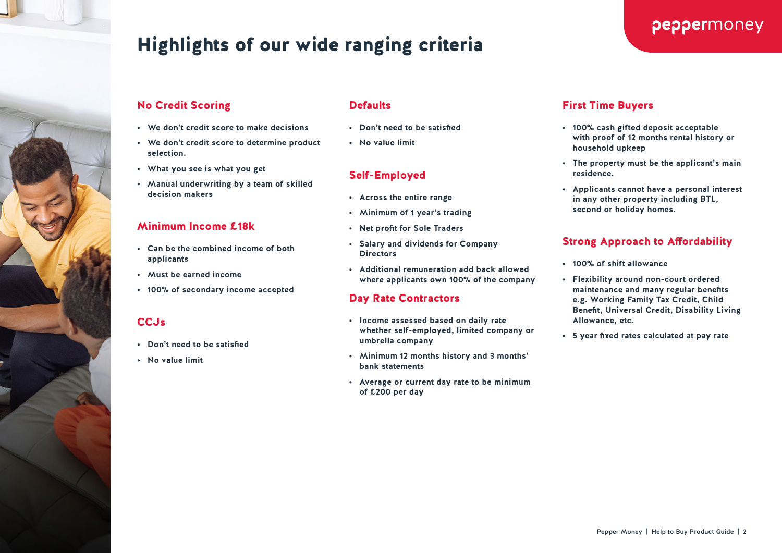

## Highlights of our wide ranging criteria

#### No Credit Scoring

- **• We don't credit score to make decisions**
- **• We don't credit score to determine product selection.**
- **• What you see is what you get**
- **• Manual underwriting by a team of skilled decision makers**

#### Minimum Income £18k

- **• Can be the combined income of both applicants**
- **• Must be earned income**
- **• 100% of secondary income accepted**

#### **CCJs**

- **• Don't need to be satisfied**
- **• No value limit**

#### **Defaults**

- **• Don't need to be satisfied**
- **• No value limit**

#### Self-Employed

- **• Across the entire range**
- **• Minimum of 1 year's trading**
- **• Net profit for Sole Traders**
- **• Salary and dividends for Company Directors**
- **• Additional remuneration add back allowed where applicants own 100% of the company**

#### Day Rate Contractors

- **• Income assessed based on daily rate whether self-employed, limited company or umbrella company**
- **• Minimum 12 months history and 3 months' bank statements**
- **• Average or current day rate to be minimum of £200 per day**

#### First Time Buyers

**• 100% cash gifted deposit acceptable with proof of 12 months rental history or household upkeep**

peppermoney

- **• The property must be the applicant's main residence.**
- **• Applicants cannot have a personal interest in any other property including BTL, second or holiday homes.**

#### Strong Approach to Affordability

- **• 100% of shift allowance**
- **• Flexibility around non-court ordered maintenance and many regular benefits e.g. Working Family Tax Credit, Child Benefit, Universal Credit, Disability Living Allowance, etc.**
- **• 5 year fixed rates calculated at pay rate**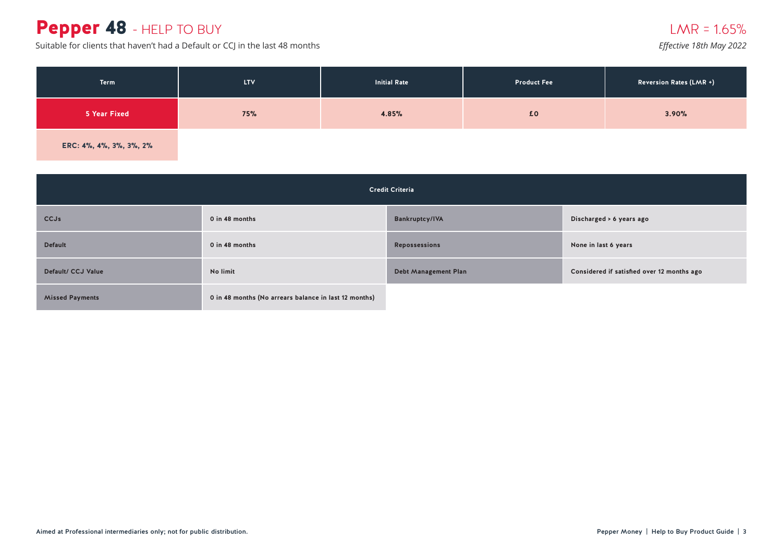## Pepper 48 - HELP TO BUY

Suitable for clients that haven't had a Default or CCJ in the last 48 months

#### $LMR = 1.65%$

*Effective 18th May 2022*

| Term                    | <b>LTV</b> | <b>Initial Rate</b> | <b>Product Fee</b> | <b>Reversion Rates (LMR +)</b> |
|-------------------------|------------|---------------------|--------------------|--------------------------------|
| 5 Year Fixed            | 75%        | 4.85%               | £0                 | 3.90%                          |
| ERC: 4%, 4%, 3%, 3%, 2% |            |                     |                    |                                |

| <b>Credit Criteria</b> |                                                       |                             |                                            |  |
|------------------------|-------------------------------------------------------|-----------------------------|--------------------------------------------|--|
| <b>CCJs</b>            | 0 in 48 months                                        | <b>Bankruptcy/IVA</b>       | Discharged > 6 years ago                   |  |
| <b>Default</b>         | 0 in 48 months                                        | <b>Repossessions</b>        | None in last 6 years                       |  |
| Default/ CCJ Value     | No limit                                              | <b>Debt Management Plan</b> | Considered if satisfied over 12 months ago |  |
| <b>Missed Payments</b> | 0 in 48 months (No arrears balance in last 12 months) |                             |                                            |  |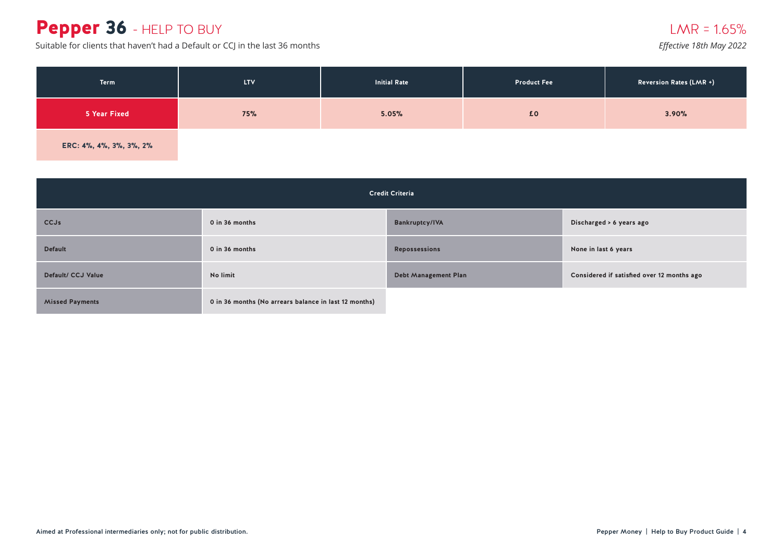### Pepper 36 - HELP TO BUY

Suitable for clients that haven't had a Default or CCJ in the last 36 months *Effective 18th May 2022* 

| Term                    | LTV. | <b>Initial Rate</b> | <b>Product Fee</b> | <b>Reversion Rates (LMR +)</b> |
|-------------------------|------|---------------------|--------------------|--------------------------------|
| 5 Year Fixed            | 75%  | 5.05%               | £0                 | 3.90%                          |
| ERC: 4%, 4%, 3%, 3%, 2% |      |                     |                    |                                |

| <b>Credit Criteria</b> |                                                       |                             |                                            |
|------------------------|-------------------------------------------------------|-----------------------------|--------------------------------------------|
| <b>CCJs</b>            | 0 in 36 months                                        | <b>Bankruptcy/IVA</b>       | Discharged > 6 years ago                   |
| <b>Default</b>         | 0 in 36 months                                        | <b>Repossessions</b>        | None in last 6 years                       |
| Default/ CCJ Value     | No limit                                              | <b>Debt Management Plan</b> | Considered if satisfied over 12 months ago |
| <b>Missed Payments</b> | 0 in 36 months (No arrears balance in last 12 months) |                             |                                            |

#### $LMR = 1.65%$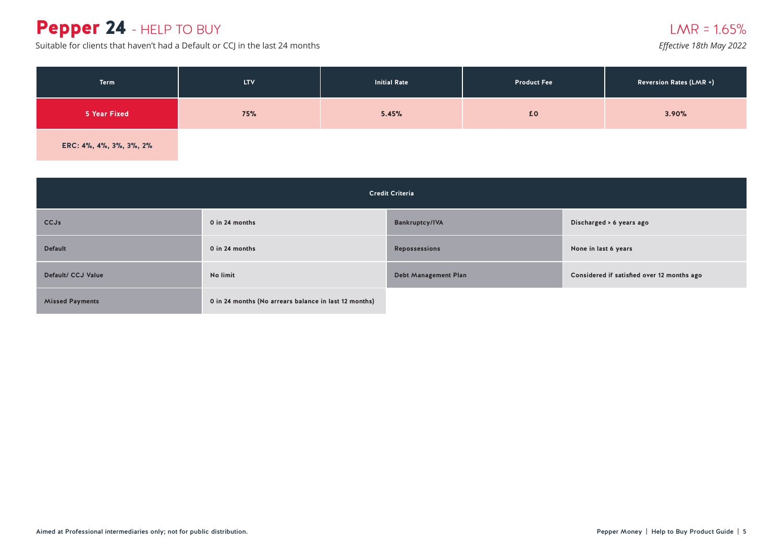## Pepper 24 - HELP TO BUY

Suitable for clients that haven't had a Default or CCJ in the last 24 months *Effective 18th May 2022* 

| <b>Term</b>             | <b>LTV</b> | <b>Initial Rate</b> | <b>Product Fee</b> | <b>Reversion Rates (LMR +)</b> |
|-------------------------|------------|---------------------|--------------------|--------------------------------|
| 5 Year Fixed            | 75%        | 5.45%               | £0                 | 3.90%                          |
| ERC: 4%, 4%, 3%, 3%, 2% |            |                     |                    |                                |

| <b>Credit Criteria</b> |                                                       |                             |                                            |  |
|------------------------|-------------------------------------------------------|-----------------------------|--------------------------------------------|--|
| <b>CCJs</b>            | 0 in 24 months                                        | <b>Bankruptcy/IVA</b>       | Discharged > 6 years ago                   |  |
| <b>Default</b>         | $0$ in 24 months                                      | <b>Repossessions</b>        | None in last 6 years                       |  |
| Default/ CCJ Value     | No limit                                              | <b>Debt Management Plan</b> | Considered if satisfied over 12 months ago |  |
| <b>Missed Payments</b> | 0 in 24 months (No arrears balance in last 12 months) |                             |                                            |  |

 $LMR = 1.65%$